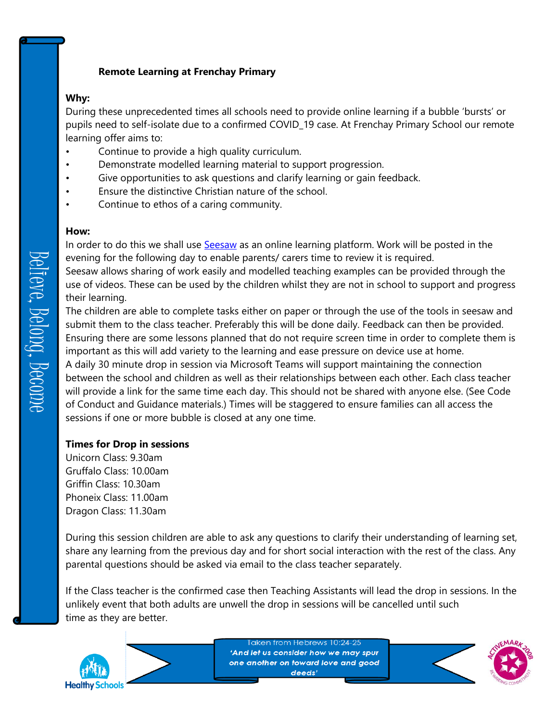## **Remote Learning at Frenchay Primary**

#### **Why:**

During these unprecedented times all schools need to provide online learning if a bubble 'bursts' or pupils need to self-isolate due to a confirmed COVID\_19 case. At Frenchay Primary School our remote learning offer aims to:

- Continue to provide a high quality curriculum.
- Demonstrate modelled learning material to support progression.
- Give opportunities to ask questions and clarify learning or gain feedback.
- Ensure the distinctive Christian nature of the school.
- Continue to ethos of a caring community.

### **How:**

In order to do this we shall use [Seesaw](https://web.seesaw.me/) as an online learning platform. Work will be posted in the evening for the following day to enable parents/ carers time to review it is required.

Seesaw allows sharing of work easily and modelled teaching examples can be provided through the use of videos. These can be used by the children whilst they are not in school to support and progress their learning.

The children are able to complete tasks either on paper or through the use of the tools in seesaw and submit them to the class teacher. Preferably this will be done daily. Feedback can then be provided. Ensuring there are some lessons planned that do not require screen time in order to complete them is important as this will add variety to the learning and ease pressure on device use at home. A daily 30 minute drop in session via Microsoft Teams will support maintaining the connection between the school and children as well as their relationships between each other. Each class teacher will provide a link for the same time each day. This should not be shared with anyone else. (See Code of Conduct and Guidance materials.) Times will be staggered to ensure families can all access the sessions if one or more bubble is closed at any one time.

### **Times for Drop in sessions**

Unicorn Class: 9.30am Gruffalo Class: 10.00am Griffin Class: 10.30am Phoneix Class: 11.00am Dragon Class: 11.30am

During this session children are able to ask any questions to clarify their understanding of learning set, share any learning from the previous day and for short social interaction with the rest of the class. Any parental questions should be asked via email to the class teacher separately.

If the Class teacher is the confirmed case then Teaching Assistants will lead the drop in sessions. In the unlikely event that both adults are unwell the drop in sessions will be cancelled until such time as they are better.



Taken from Hebrews 10:24-25 'And let us consider how we may spur one another on toward love and good deeds'